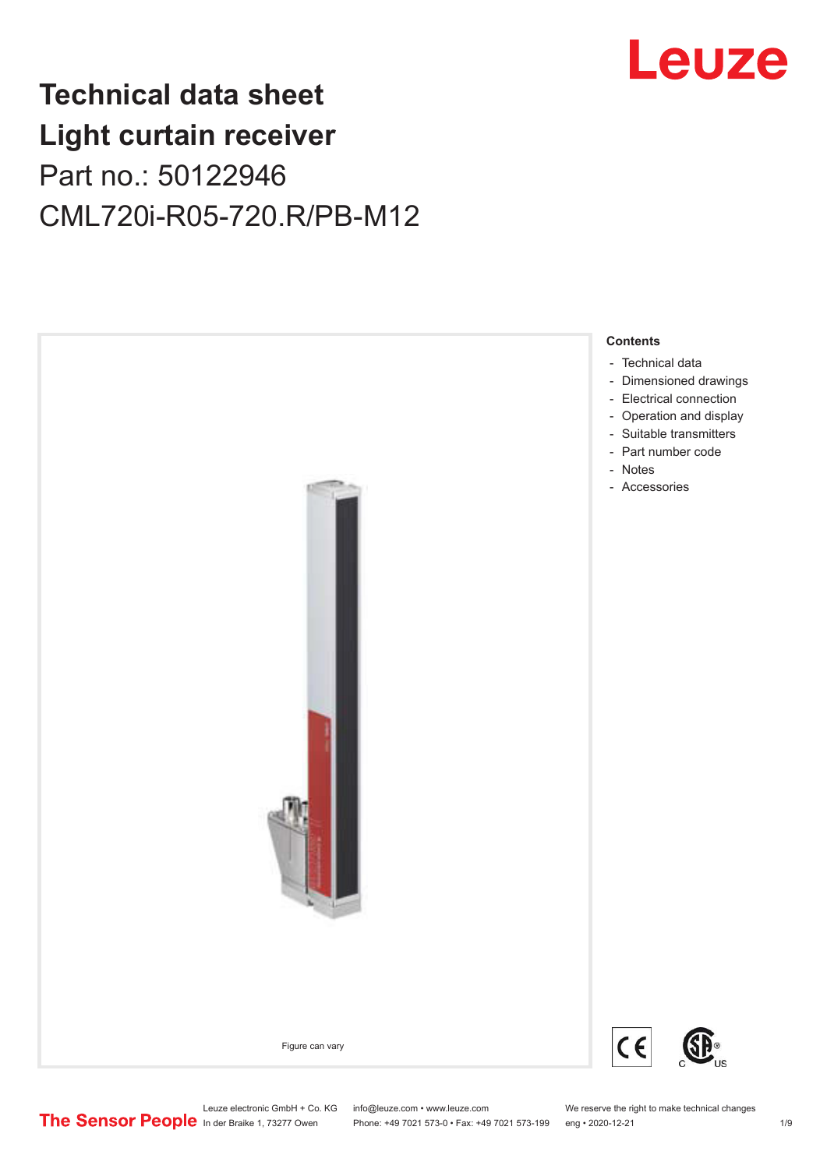## Leuze

## **Technical data sheet Light curtain receiver** Part no.: 50122946 CML720i-R05-720.R/PB-M12



Leuze electronic GmbH + Co. KG info@leuze.com • www.leuze.com We reserve the right to make technical changes<br>
The Sensor People in der Braike 1, 73277 Owen Phone: +49 7021 573-0 • Fax: +49 7021 573-199 eng • 2020-12-21

Phone: +49 7021 573-0 • Fax: +49 7021 573-199 eng • 2020-12-21 1 2020-12-21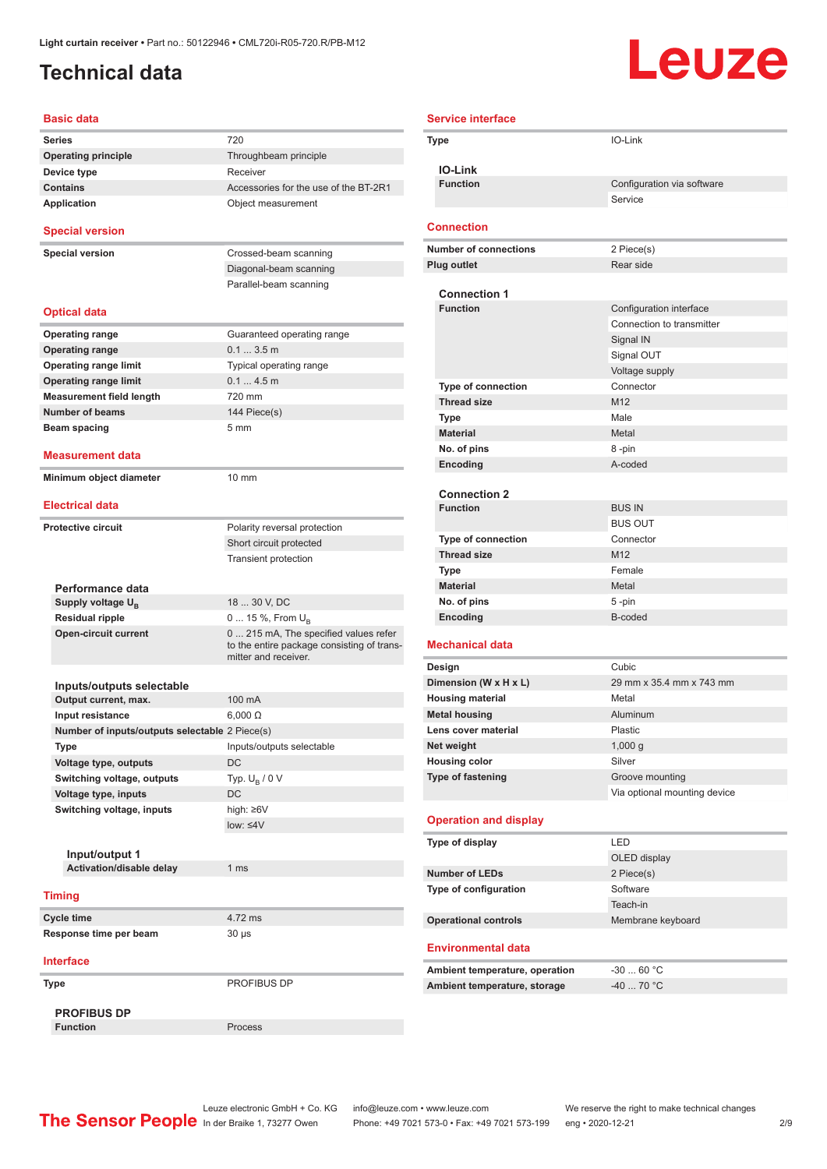## <span id="page-1-0"></span>**Technical data**

# Leuze

| <b>Basic data</b>                              |                                                                                                             |
|------------------------------------------------|-------------------------------------------------------------------------------------------------------------|
| <b>Series</b>                                  | 720                                                                                                         |
| <b>Operating principle</b>                     | Throughbeam principle                                                                                       |
| Device type                                    | Receiver                                                                                                    |
| <b>Contains</b>                                | Accessories for the use of the BT-2R1                                                                       |
| <b>Application</b>                             | Object measurement                                                                                          |
| <b>Special version</b>                         |                                                                                                             |
| <b>Special version</b>                         | Crossed-beam scanning                                                                                       |
|                                                | Diagonal-beam scanning                                                                                      |
|                                                | Parallel-beam scanning                                                                                      |
| <b>Optical data</b>                            |                                                                                                             |
| <b>Operating range</b>                         | Guaranteed operating range                                                                                  |
| <b>Operating range</b>                         | 0.13.5m                                                                                                     |
| <b>Operating range limit</b>                   | Typical operating range                                                                                     |
| <b>Operating range limit</b>                   | 0.14.5m                                                                                                     |
| <b>Measurement field length</b>                | 720 mm                                                                                                      |
| <b>Number of beams</b>                         | 144 Piece(s)                                                                                                |
| Beam spacing                                   | 5 <sub>mm</sub>                                                                                             |
|                                                |                                                                                                             |
| Measurement data<br>Minimum object diameter    | 10 mm                                                                                                       |
|                                                |                                                                                                             |
| <b>Electrical data</b>                         |                                                                                                             |
| <b>Protective circuit</b>                      | Polarity reversal protection                                                                                |
|                                                | Short circuit protected                                                                                     |
|                                                | <b>Transient protection</b>                                                                                 |
| Performance data                               |                                                                                                             |
| Supply voltage U <sub>B</sub>                  | 18  30 V, DC                                                                                                |
| <b>Residual ripple</b>                         | 0  15 %, From $U_{\rm B}$                                                                                   |
| <b>Open-circuit current</b>                    | 0  215 mA, The specified values refer<br>to the entire package consisting of trans-<br>mitter and receiver. |
|                                                |                                                                                                             |
| Inputs/outputs selectable                      | 100 mA                                                                                                      |
| Output current, max.                           |                                                                                                             |
| Input resistance                               | $6,000 \Omega$                                                                                              |
| Number of inputs/outputs selectable 2 Piece(s) |                                                                                                             |
| Type                                           | Inputs/outputs selectable                                                                                   |
| Voltage type, outputs                          | <b>DC</b>                                                                                                   |
| Switching voltage, outputs                     | Typ. $U_R / 0 V$                                                                                            |
| Voltage type, inputs                           | DC                                                                                                          |
| Switching voltage, inputs                      | high: ≥6V                                                                                                   |
|                                                | $low: 4V$                                                                                                   |
|                                                |                                                                                                             |
| Input/output 1                                 |                                                                                                             |
| Activation/disable delay                       | 1 ms                                                                                                        |
| <b>Timing</b>                                  |                                                                                                             |
| <b>Cycle time</b>                              | 4.72 ms                                                                                                     |
| Response time per beam                         | $30 \mu s$                                                                                                  |
| <b>Interface</b>                               |                                                                                                             |
|                                                |                                                                                                             |
| Type                                           | PROFIBUS DP                                                                                                 |
| <b>PROFIBUS DP</b>                             |                                                                                                             |
| <b>Function</b>                                | Process                                                                                                     |

| <b>Service interface</b> |                                                 |                              |
|--------------------------|-------------------------------------------------|------------------------------|
|                          | Type                                            | IO-Link                      |
|                          | <b>IO-Link</b>                                  |                              |
|                          | <b>Function</b>                                 | Configuration via software   |
|                          |                                                 | Service                      |
|                          | Connection                                      |                              |
|                          | <b>Number of connections</b>                    | 2 Piece(s)                   |
|                          | <b>Plug outlet</b>                              | Rear side                    |
|                          | <b>Connection 1</b>                             |                              |
|                          | <b>Function</b>                                 | Configuration interface      |
|                          |                                                 | Connection to transmitter    |
|                          |                                                 | Signal IN                    |
|                          |                                                 | Signal OUT                   |
|                          |                                                 | Voltage supply               |
|                          | Type of connection                              | Connector                    |
|                          | <b>Thread size</b>                              | M12                          |
|                          | Type                                            | Male                         |
|                          | <b>Material</b>                                 | Metal                        |
|                          | No. of pins                                     | 8 -pin                       |
|                          | Encoding                                        | A-coded                      |
|                          |                                                 |                              |
|                          | <b>Connection 2</b>                             |                              |
|                          | <b>Function</b>                                 | <b>BUS IN</b>                |
|                          |                                                 | <b>BUS OUT</b>               |
|                          | <b>Type of connection</b><br><b>Thread size</b> | Connector<br>M <sub>12</sub> |
|                          | Type                                            | Female                       |
|                          | <b>Material</b>                                 | Metal                        |
|                          | No. of pins                                     | 5-pin                        |
|                          | Encoding                                        | B-coded                      |
|                          |                                                 |                              |
|                          | <b>Mechanical data</b>                          |                              |
|                          | Design                                          | Cubic                        |
|                          | Dimension (W x H x L)                           | 29 mm x 35.4 mm x 743 mm     |
|                          | <b>Housing material</b>                         | Metal                        |
|                          | <b>Metal housing</b>                            | Aluminum                     |
|                          | Lens cover material                             | <b>Plastic</b>               |
|                          | Net weight                                      | 1,000 g                      |
|                          | <b>Housing color</b>                            | Silver                       |
|                          | <b>Type of fastening</b>                        | Groove mounting              |
|                          |                                                 | Via optional mounting device |
|                          | <b>Operation and display</b>                    |                              |
|                          | Type of display                                 | LED                          |
|                          |                                                 | OLED display                 |
|                          | <b>Number of LEDs</b>                           | 2 Piece(s)                   |
|                          | Type of configuration                           | Software                     |
|                          |                                                 | Teach-in                     |
|                          | <b>Operational controls</b>                     | Membrane keyboard            |
|                          | <b>Environmental data</b>                       |                              |
|                          | Ambient temperature, operation                  | $-3060 °C$                   |
|                          | Ambient temperature, storage                    | $-40$ 70 °C                  |
|                          |                                                 |                              |

Leuze electronic GmbH + Co. KG info@leuze.com • www.leuze.com We reserve the right to make technical changes In der Braike 1, 73277 Owen Phone: +49 7021 573-0 • Fax: +49 7021 573-199 eng • 2020-12-21 299 Phone: +49 7021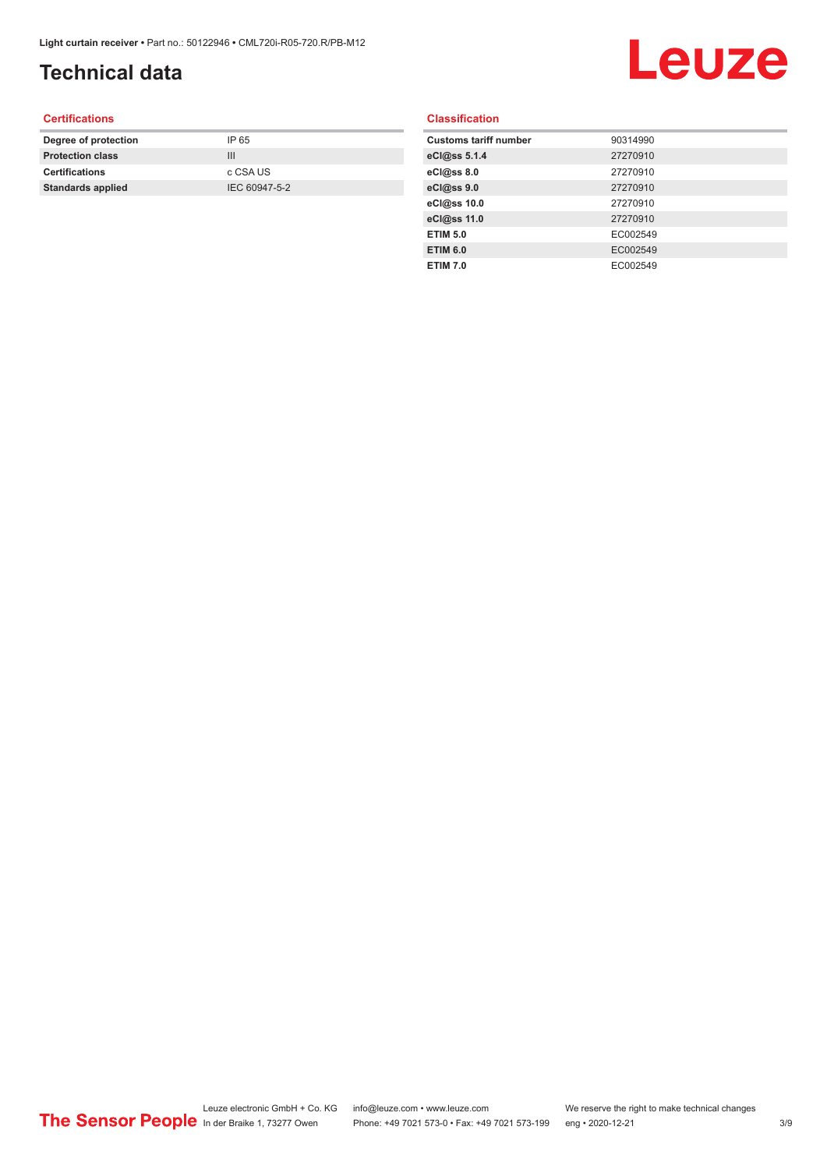## **Technical data**

# Leuze

#### **Certifications**

| Degree of protection     | IP 65         |
|--------------------------|---------------|
| <b>Protection class</b>  | Ш             |
| <b>Certifications</b>    | c CSA US      |
| <b>Standards applied</b> | IEC 60947-5-2 |
|                          |               |

#### **Classification**

| <b>Customs tariff number</b> | 90314990 |
|------------------------------|----------|
| eCl@ss 5.1.4                 | 27270910 |
| eCl@ss 8.0                   | 27270910 |
| eCl@ss 9.0                   | 27270910 |
| eCl@ss 10.0                  | 27270910 |
| eCl@ss 11.0                  | 27270910 |
| <b>ETIM 5.0</b>              | EC002549 |
| <b>ETIM 6.0</b>              | EC002549 |
| <b>ETIM 7.0</b>              | EC002549 |
|                              |          |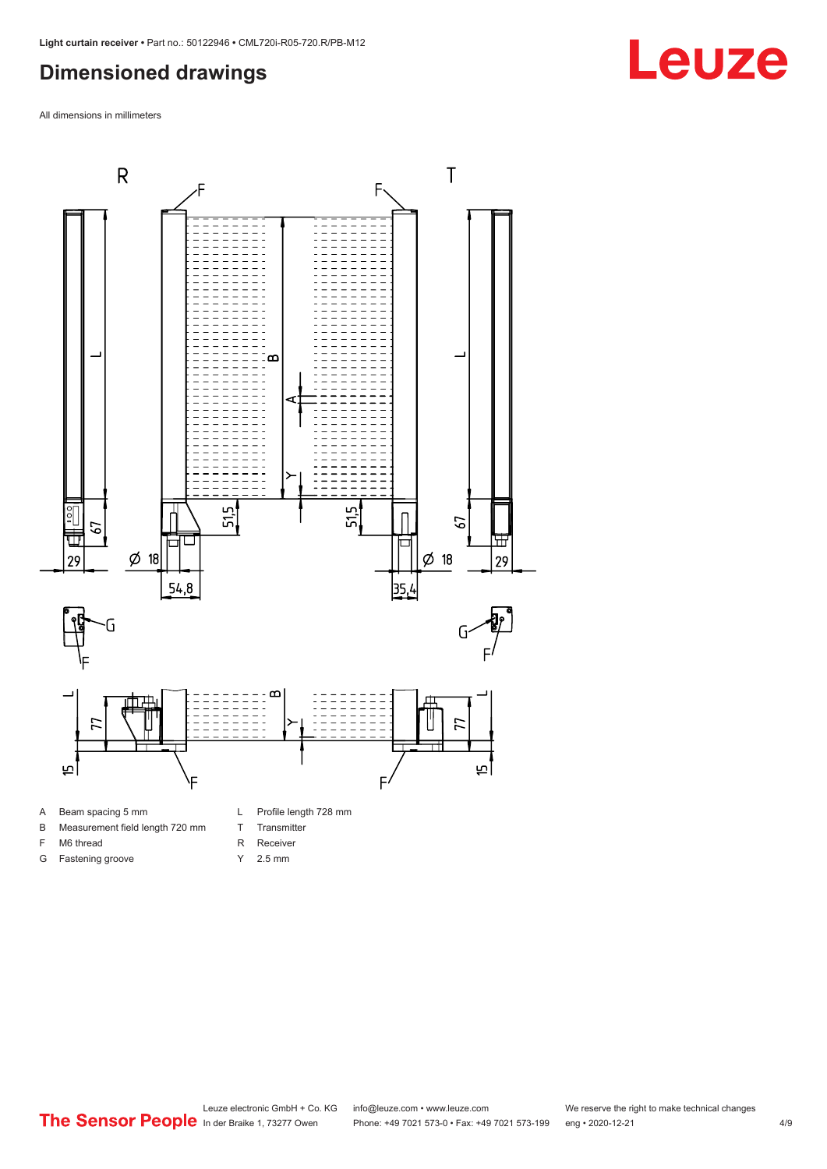#### <span id="page-3-0"></span>**Dimensioned drawings**

All dimensions in millimeters



B Measurement field length 720 mm

- F M6 thread
- G Fastening groove
- T Transmitter
- R Receiver
- Y 2.5 mm



## **Leuze**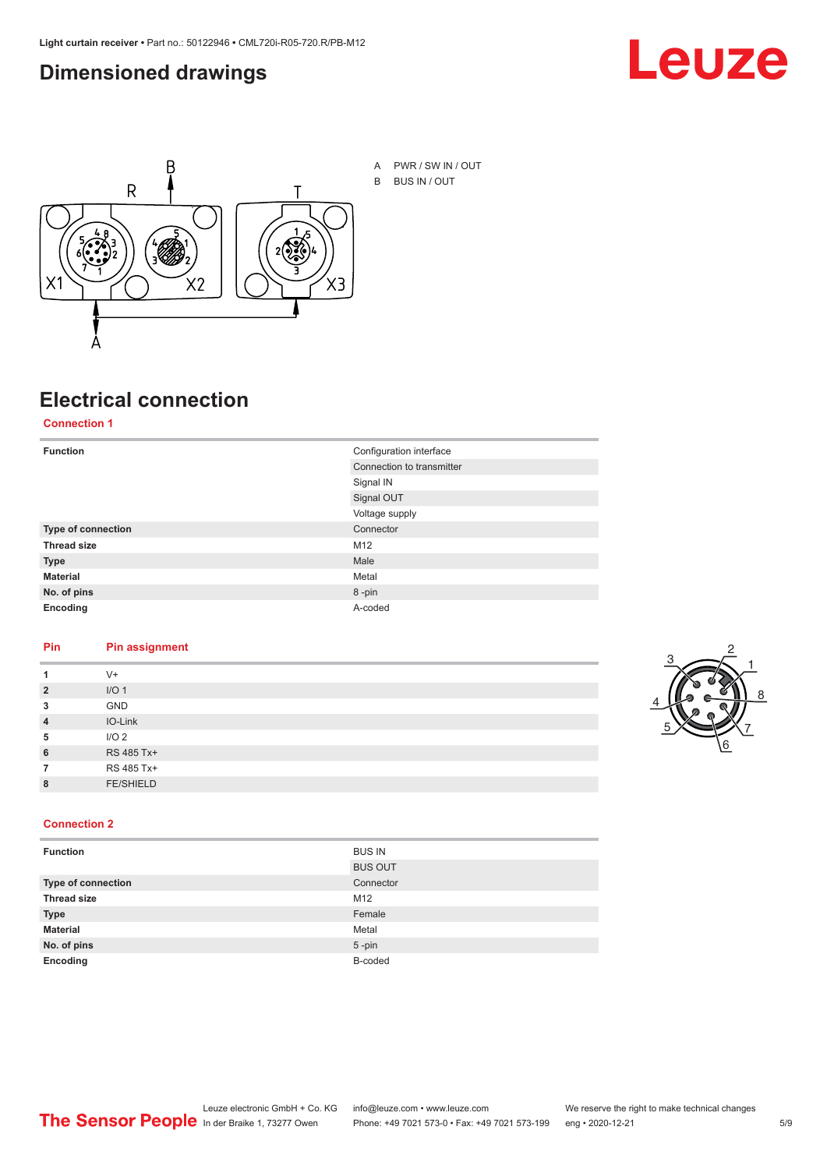#### <span id="page-4-0"></span>**Dimensioned drawings**





**Electrical connection**

#### **Connection 1**

| <b>Function</b>    | Configuration interface   |
|--------------------|---------------------------|
|                    | Connection to transmitter |
|                    | Signal IN                 |
|                    | Signal OUT                |
|                    | Voltage supply            |
| Type of connection | Connector                 |
| <b>Thread size</b> | M12                       |
| <b>Type</b>        | Male                      |
| <b>Material</b>    | Metal                     |
| No. of pins        | 8-pin                     |
| Encoding           | A-coded                   |

#### **Pin Pin assignment**

|                | $V +$            |  |  |
|----------------|------------------|--|--|
| $\overline{2}$ | I/O <sub>1</sub> |  |  |
| 3              | <b>GND</b>       |  |  |
| $\overline{4}$ | IO-Link          |  |  |
| 5              | I/O <sub>2</sub> |  |  |
| 6              | RS 485 Tx+       |  |  |
|                | RS 485 Tx+       |  |  |
| 8              | <b>FE/SHIELD</b> |  |  |
|                |                  |  |  |



#### **Connection 2**

| <b>Function</b>    | <b>BUS IN</b>  |
|--------------------|----------------|
|                    | <b>BUS OUT</b> |
| Type of connection | Connector      |
| <b>Thread size</b> | M12            |
| <b>Type</b>        | Female         |
| <b>Material</b>    | Metal          |
| No. of pins        | $5 - pin$      |
| Encoding           | B-coded        |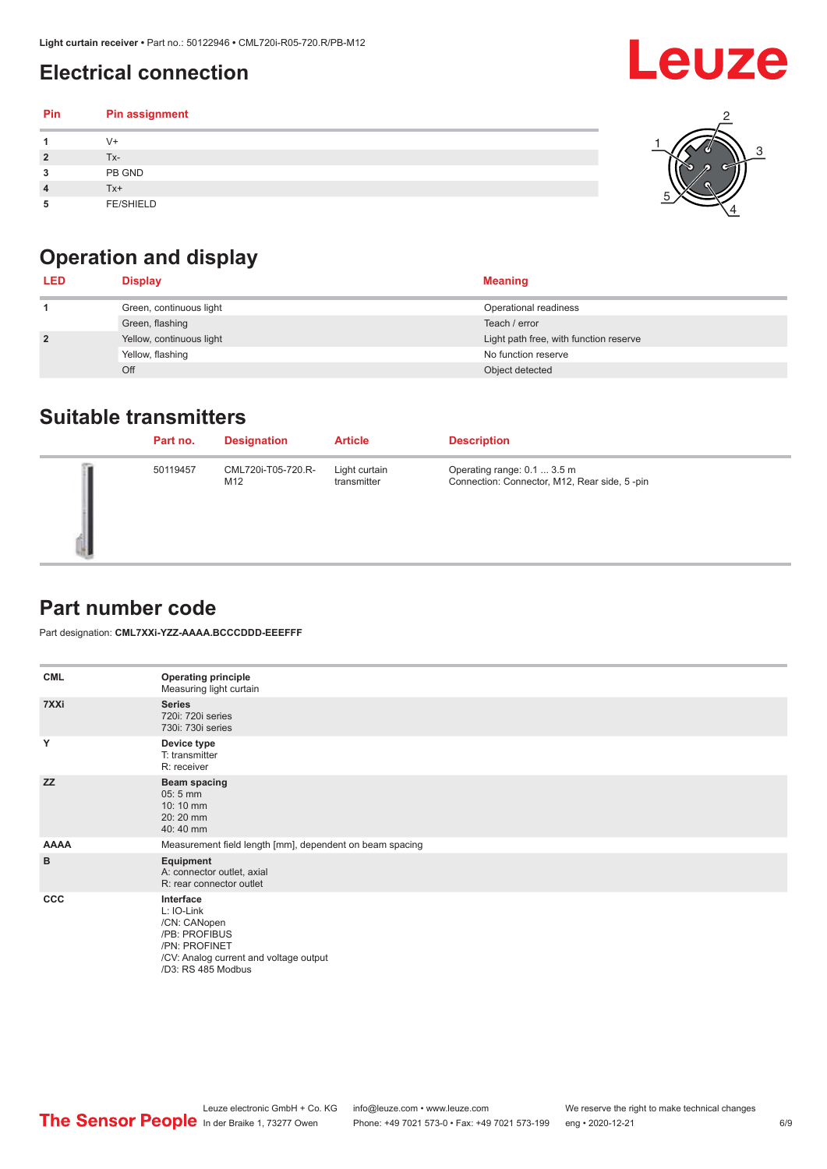## <span id="page-5-0"></span>**Electrical connection**

#### **Pin Pin assignment 1** V+ **2** Tx-**3** PB GND **4** Tx+ **5** FE/SHIELD 3 2 1 5 4



| <b>LED</b>     | <b>Display</b>           | <b>Meaning</b>                         |
|----------------|--------------------------|----------------------------------------|
|                | Green, continuous light  | Operational readiness                  |
|                | Green, flashing          | Teach / error                          |
| $\overline{2}$ | Yellow, continuous light | Light path free, with function reserve |
|                | Yellow, flashing         | No function reserve                    |
|                | Off                      | Object detected                        |

#### **Suitable transmitters**

| Part no. | <b>Designation</b>        | <b>Article</b>               | <b>Description</b>                                                          |
|----------|---------------------------|------------------------------|-----------------------------------------------------------------------------|
| 50119457 | CML720i-T05-720.R-<br>M12 | Light curtain<br>transmitter | Operating range: 0.1  3.5 m<br>Connection: Connector, M12, Rear side, 5-pin |

### **Part number code**

Part designation: **CML7XXi-YZZ-AAAA.BCCCDDD-EEEFFF**

| <b>CML</b>  | <b>Operating principle</b><br>Measuring light curtain                                                                                     |
|-------------|-------------------------------------------------------------------------------------------------------------------------------------------|
| 7XXi        | <b>Series</b><br>720i: 720i series<br>730i: 730i series                                                                                   |
| Y           | Device type<br>T: transmitter<br>R: receiver                                                                                              |
| <b>ZZ</b>   | <b>Beam spacing</b><br>05:5 mm<br>10:10 mm<br>20:20 mm<br>40:40 mm                                                                        |
| <b>AAAA</b> | Measurement field length [mm], dependent on beam spacing                                                                                  |
| в           | Equipment<br>A: connector outlet, axial<br>R: rear connector outlet                                                                       |
| <b>CCC</b>  | Interface<br>L: IO-Link<br>/CN: CANopen<br>/PB: PROFIBUS<br>/PN: PROFINET<br>/CV: Analog current and voltage output<br>/D3: RS 485 Modbus |

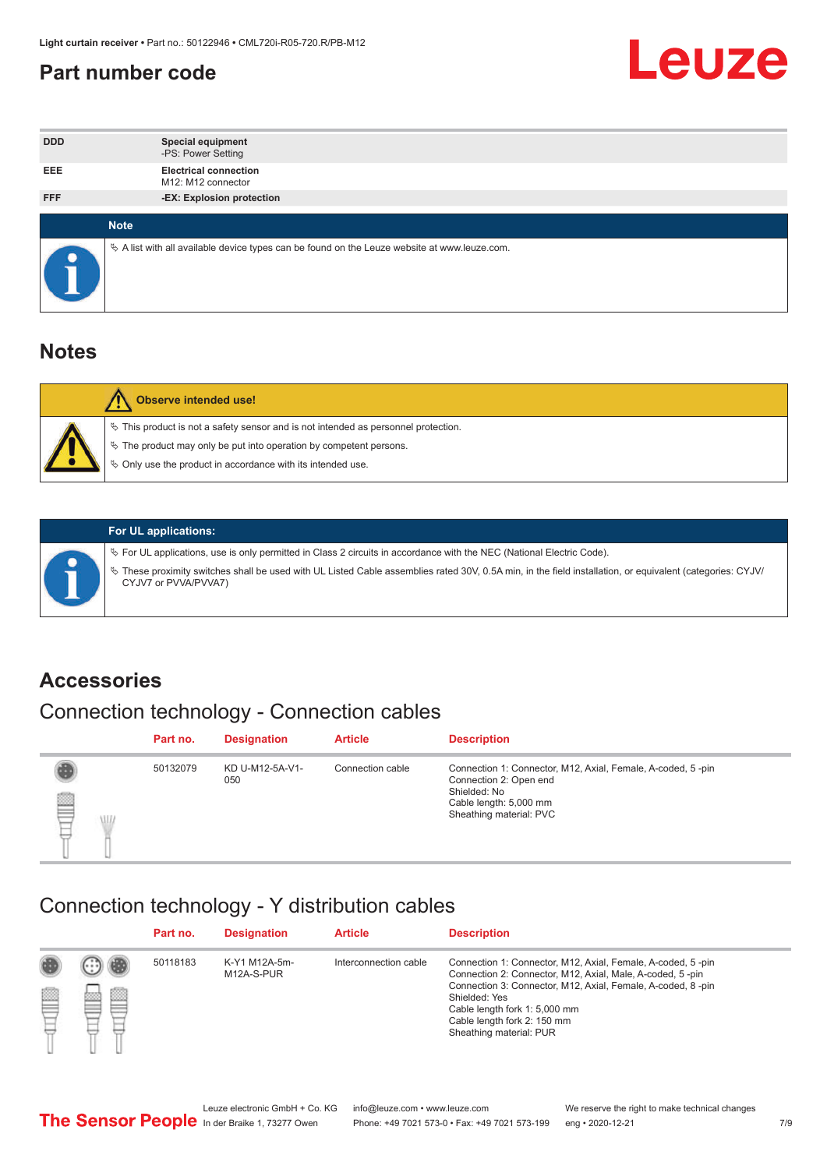#### <span id="page-6-0"></span>**Part number code**



| <b>DDD</b>  | <b>Special equipment</b><br>-PS: Power Setting                                                  |
|-------------|-------------------------------------------------------------------------------------------------|
| <b>EEE</b>  | <b>Electrical connection</b><br>M12: M12 connector                                              |
| <b>FFF</b>  | -EX: Explosion protection                                                                       |
|             |                                                                                                 |
| <b>Note</b> |                                                                                                 |
|             | $\&$ A list with all available device types can be found on the Leuze website at www.leuze.com. |

#### **Notes**

| Observe intended use!                                                                                                                                                                                                            |
|----------------------------------------------------------------------------------------------------------------------------------------------------------------------------------------------------------------------------------|
| $\%$ This product is not a safety sensor and is not intended as personnel protection.<br>$\%$ The product may only be put into operation by competent persons.<br>$\%$ Only use the product in accordance with its intended use. |
|                                                                                                                                                                                                                                  |



#### **For UL applications:**

ª For UL applications, use is only permitted in Class 2 circuits in accordance with the NEC (National Electric Code). ª These proximity switches shall be used with UL Listed Cable assemblies rated 30V, 0.5A min, in the field installation, or equivalent (categories: CYJV/ CYJV7 or PVVA/PVVA7)

#### **Accessories**

## Connection technology - Connection cables

|        | Part no. | <b>Designation</b>     | <b>Article</b>   | <b>Description</b>                                                                                                                                         |
|--------|----------|------------------------|------------------|------------------------------------------------------------------------------------------------------------------------------------------------------------|
| 2<br>W | 50132079 | KD U-M12-5A-V1-<br>050 | Connection cable | Connection 1: Connector, M12, Axial, Female, A-coded, 5-pin<br>Connection 2: Open end<br>Shielded: No<br>Cable length: 5,000 mm<br>Sheathing material: PVC |

#### Connection technology - Y distribution cables

|        |   | Part no. | <b>Designation</b>          | <b>Article</b>        | <b>Description</b>                                                                                                                                                                                                                                                                                  |
|--------|---|----------|-----------------------------|-----------------------|-----------------------------------------------------------------------------------------------------------------------------------------------------------------------------------------------------------------------------------------------------------------------------------------------------|
| 圔<br>⋿ | Ø | 50118183 | K-Y1 M12A-5m-<br>M12A-S-PUR | Interconnection cable | Connection 1: Connector, M12, Axial, Female, A-coded, 5-pin<br>Connection 2: Connector, M12, Axial, Male, A-coded, 5-pin<br>Connection 3: Connector, M12, Axial, Female, A-coded, 8-pin<br>Shielded: Yes<br>Cable length fork 1: 5,000 mm<br>Cable length fork 2: 150 mm<br>Sheathing material: PUR |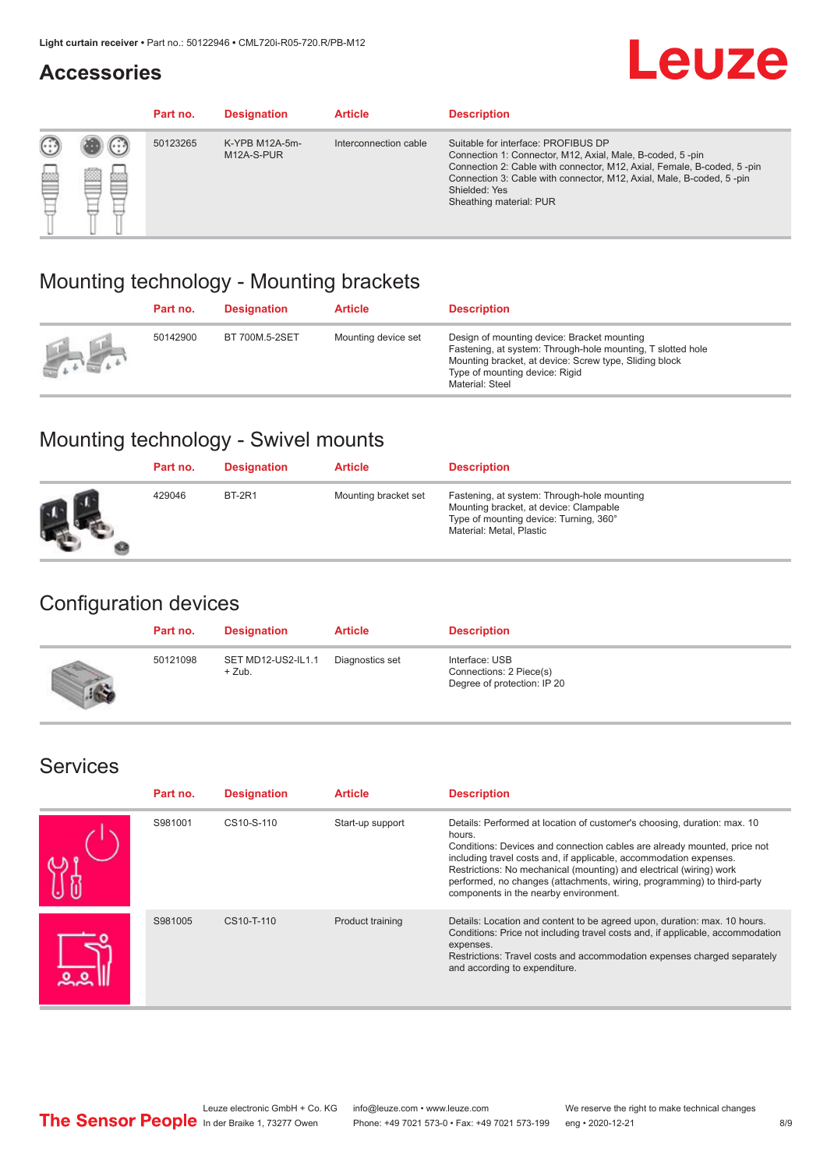#### **Accessories**

## **Leuze**

|   |                  | Part no. | <b>Designation</b>           | <b>Article</b>        | <b>Description</b>                                                                                                                                                                                                                                                                             |
|---|------------------|----------|------------------------------|-----------------------|------------------------------------------------------------------------------------------------------------------------------------------------------------------------------------------------------------------------------------------------------------------------------------------------|
| œ | œ<br><b>COLL</b> | 50123265 | K-YPB M12A-5m-<br>M12A-S-PUR | Interconnection cable | Suitable for interface: PROFIBUS DP<br>Connection 1: Connector, M12, Axial, Male, B-coded, 5-pin<br>Connection 2: Cable with connector, M12, Axial, Female, B-coded, 5-pin<br>Connection 3: Cable with connector, M12, Axial, Male, B-coded, 5-pin<br>Shielded: Yes<br>Sheathing material: PUR |

### Mounting technology - Mounting brackets

|               | Part no. | <b>Designation</b> | <b>Article</b>      | <b>Description</b>                                                                                                                                                                                                        |
|---------------|----------|--------------------|---------------------|---------------------------------------------------------------------------------------------------------------------------------------------------------------------------------------------------------------------------|
| $\frac{1}{2}$ | 50142900 | BT 700M.5-2SET     | Mounting device set | Design of mounting device: Bracket mounting<br>Fastening, at system: Through-hole mounting, T slotted hole<br>Mounting bracket, at device: Screw type, Sliding block<br>Type of mounting device: Rigid<br>Material: Steel |

### Mounting technology - Swivel mounts

| Part no. | <b>Designation</b> | <b>Article</b>       | <b>Description</b>                                                                                                                                          |
|----------|--------------------|----------------------|-------------------------------------------------------------------------------------------------------------------------------------------------------------|
| 429046   | <b>BT-2R1</b>      | Mounting bracket set | Fastening, at system: Through-hole mounting<br>Mounting bracket, at device: Clampable<br>Type of mounting device: Turning, 360°<br>Material: Metal, Plastic |

### Configuration devices

| Part no. | <b>Designation</b>             | <b>Article</b>  | <b>Description</b>                                                       |
|----------|--------------------------------|-----------------|--------------------------------------------------------------------------|
| 50121098 | SET MD12-US2-IL1.1<br>$+$ Zub. | Diagnostics set | Interface: USB<br>Connections: 2 Piece(s)<br>Degree of protection: IP 20 |

#### Services

| Part no. | <b>Designation</b> | <b>Article</b>   | <b>Description</b>                                                                                                                                                                                                                                                                                                                                                                                                              |
|----------|--------------------|------------------|---------------------------------------------------------------------------------------------------------------------------------------------------------------------------------------------------------------------------------------------------------------------------------------------------------------------------------------------------------------------------------------------------------------------------------|
| S981001  | CS10-S-110         | Start-up support | Details: Performed at location of customer's choosing, duration: max. 10<br>hours.<br>Conditions: Devices and connection cables are already mounted, price not<br>including travel costs and, if applicable, accommodation expenses.<br>Restrictions: No mechanical (mounting) and electrical (wiring) work<br>performed, no changes (attachments, wiring, programming) to third-party<br>components in the nearby environment. |
| S981005  | CS10-T-110         | Product training | Details: Location and content to be agreed upon, duration: max. 10 hours.<br>Conditions: Price not including travel costs and, if applicable, accommodation<br>expenses.<br>Restrictions: Travel costs and accommodation expenses charged separately<br>and according to expenditure.                                                                                                                                           |